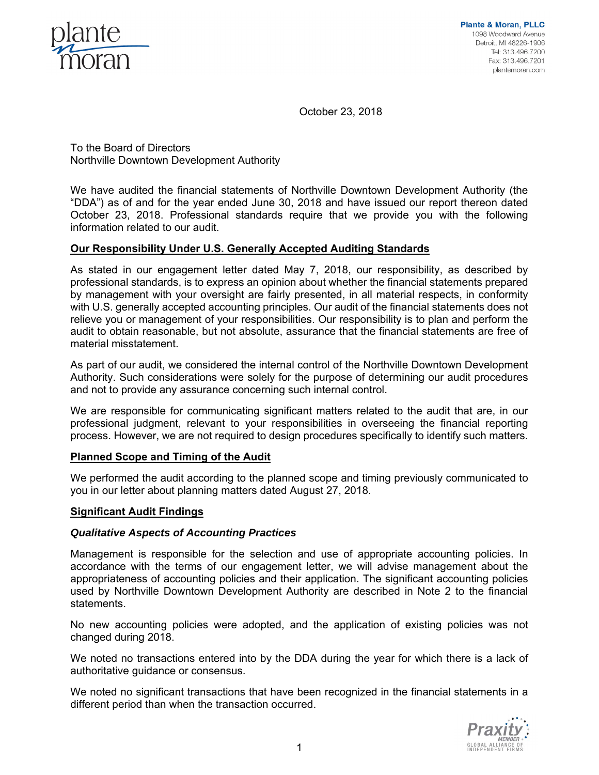

October 23, 2018

To the Board of Directors Northville Downtown Development Authority

We have audited the financial statements of Northville Downtown Development Authority (the "DDA") as of and for the year ended June 30, 2018 and have issued our report thereon dated October 23, 2018. Professional standards require that we provide you with the following information related to our audit.

# **Our Responsibility Under U.S. Generally Accepted Auditing Standards**

As stated in our engagement letter dated May 7, 2018, our responsibility, as described by professional standards, is to express an opinion about whether the financial statements prepared by management with your oversight are fairly presented, in all material respects, in conformity with U.S. generally accepted accounting principles. Our audit of the financial statements does not relieve you or management of your responsibilities. Our responsibility is to plan and perform the audit to obtain reasonable, but not absolute, assurance that the financial statements are free of material misstatement.

As part of our audit, we considered the internal control of the Northville Downtown Development Authority. Such considerations were solely for the purpose of determining our audit procedures and not to provide any assurance concerning such internal control.

We are responsible for communicating significant matters related to the audit that are, in our professional judgment, relevant to your responsibilities in overseeing the financial reporting process. However, we are not required to design procedures specifically to identify such matters.

# **Planned Scope and Timing of the Audit**

We performed the audit according to the planned scope and timing previously communicated to you in our letter about planning matters dated August 27, 2018.

# **Significant Audit Findings**

# *Qualitative Aspects of Accounting Practices*

Management is responsible for the selection and use of appropriate accounting policies. In accordance with the terms of our engagement letter, we will advise management about the appropriateness of accounting policies and their application. The significant accounting policies used by Northville Downtown Development Authority are described in Note 2 to the financial statements.

No new accounting policies were adopted, and the application of existing policies was not changed during 2018.

We noted no transactions entered into by the DDA during the year for which there is a lack of authoritative guidance or consensus.

We noted no significant transactions that have been recognized in the financial statements in a different period than when the transaction occurred.

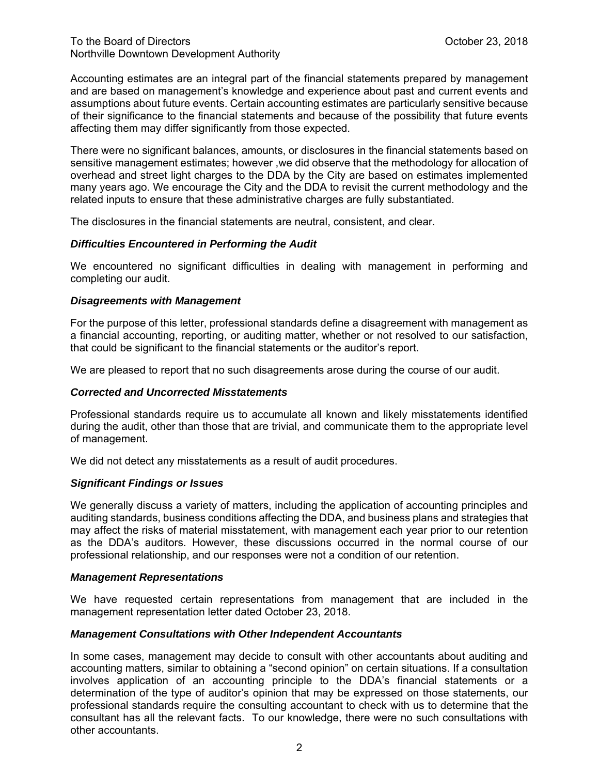Accounting estimates are an integral part of the financial statements prepared by management and are based on management's knowledge and experience about past and current events and assumptions about future events. Certain accounting estimates are particularly sensitive because of their significance to the financial statements and because of the possibility that future events affecting them may differ significantly from those expected.

There were no significant balances, amounts, or disclosures in the financial statements based on sensitive management estimates; however ,we did observe that the methodology for allocation of overhead and street light charges to the DDA by the City are based on estimates implemented many years ago. We encourage the City and the DDA to revisit the current methodology and the related inputs to ensure that these administrative charges are fully substantiated.

The disclosures in the financial statements are neutral, consistent, and clear.

# *Difficulties Encountered in Performing the Audit*

We encountered no significant difficulties in dealing with management in performing and completing our audit.

# *Disagreements with Management*

For the purpose of this letter, professional standards define a disagreement with management as a financial accounting, reporting, or auditing matter, whether or not resolved to our satisfaction, that could be significant to the financial statements or the auditor's report.

We are pleased to report that no such disagreements arose during the course of our audit.

# *Corrected and Uncorrected Misstatements*

Professional standards require us to accumulate all known and likely misstatements identified during the audit, other than those that are trivial, and communicate them to the appropriate level of management.

We did not detect any misstatements as a result of audit procedures.

# *Significant Findings or Issues*

We generally discuss a variety of matters, including the application of accounting principles and auditing standards, business conditions affecting the DDA, and business plans and strategies that may affect the risks of material misstatement, with management each year prior to our retention as the DDA's auditors. However, these discussions occurred in the normal course of our professional relationship, and our responses were not a condition of our retention.

# *Management Representations*

We have requested certain representations from management that are included in the management representation letter dated October 23, 2018.

# *Management Consultations with Other Independent Accountants*

In some cases, management may decide to consult with other accountants about auditing and accounting matters, similar to obtaining a "second opinion" on certain situations. If a consultation involves application of an accounting principle to the DDA's financial statements or a determination of the type of auditor's opinion that may be expressed on those statements, our professional standards require the consulting accountant to check with us to determine that the consultant has all the relevant facts. To our knowledge, there were no such consultations with other accountants.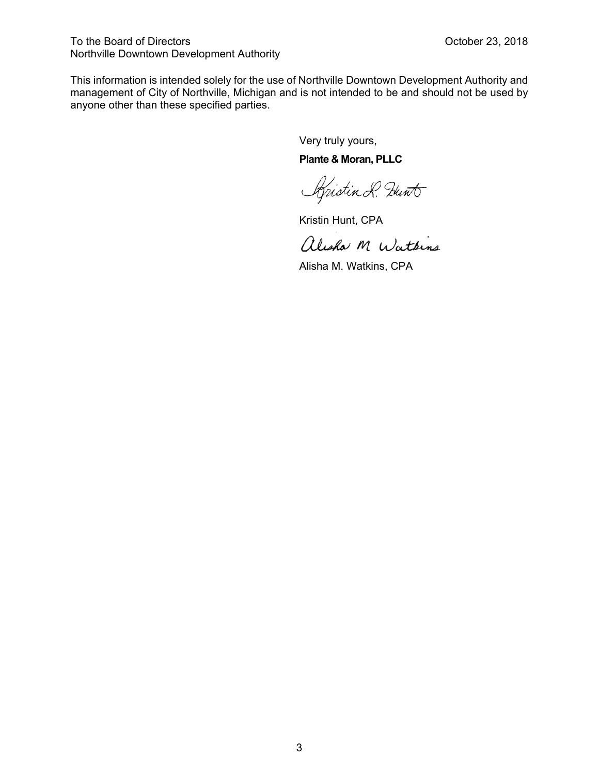This information is intended solely for the use of Northville Downtown Development Authority and management of City of Northville, Michigan and is not intended to be and should not be used by anyone other than these specified parties.

Very truly yours,

**Plante & Moran, PLLC** 

Apistin 2. Dunt

Kristin Hunt, CPA

alisha M Watkins

Alisha M. Watkins, CPA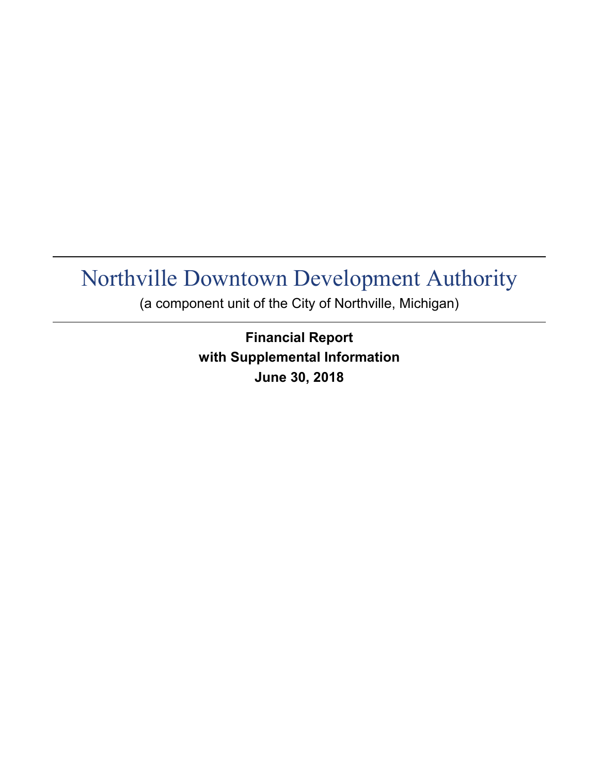(a component unit of the City of Northville, Michigan)

**Financial Report with Supplemental Information June 30, 2018**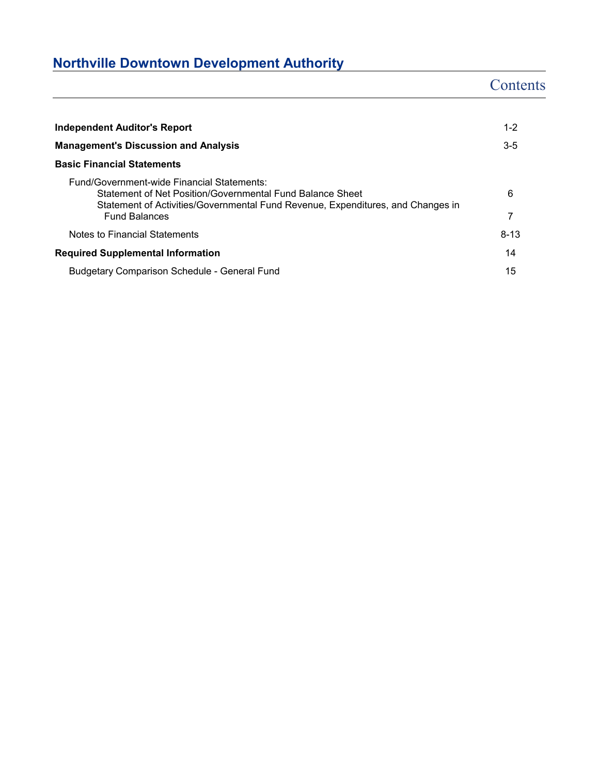# Contents

| Independent Auditor's Report                                                                                                                                                                                       | $1 - 2$  |
|--------------------------------------------------------------------------------------------------------------------------------------------------------------------------------------------------------------------|----------|
| <b>Management's Discussion and Analysis</b>                                                                                                                                                                        | $3-5$    |
| <b>Basic Financial Statements</b>                                                                                                                                                                                  |          |
| Fund/Government-wide Financial Statements:<br>Statement of Net Position/Governmental Fund Balance Sheet<br>Statement of Activities/Governmental Fund Revenue, Expenditures, and Changes in<br><b>Fund Balances</b> | 6<br>7   |
| Notes to Financial Statements                                                                                                                                                                                      | $8 - 13$ |
| <b>Required Supplemental Information</b>                                                                                                                                                                           | 14       |
| <b>Budgetary Comparison Schedule - General Fund</b>                                                                                                                                                                | 15       |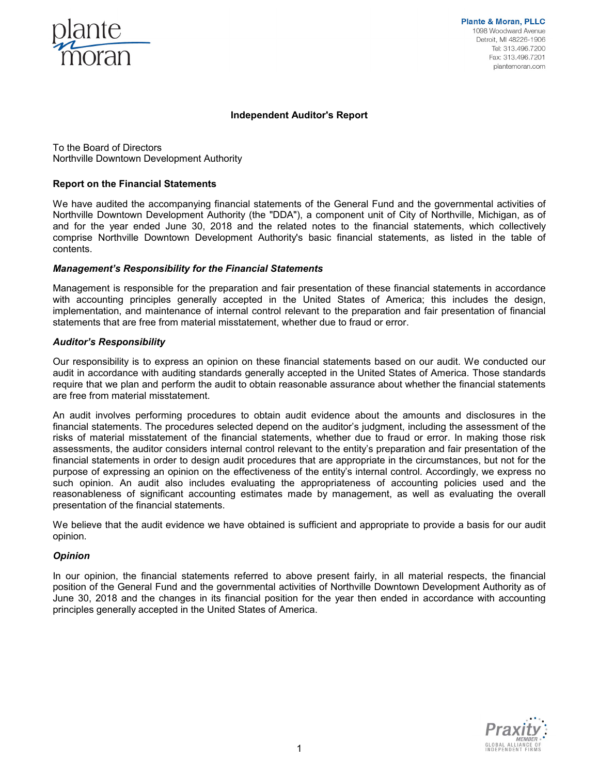

#### **Independent Auditor's Report**

To the Board of Directors Northville Downtown Development Authority

#### **Report on the Financial Statements**

We have audited the accompanying financial statements of the General Fund and the governmental activities of Northville Downtown Development Authority (the "DDA"), a component unit of City of Northville, Michigan, as of and for the year ended June 30, 2018 and the related notes to the financial statements, which collectively comprise Northville Downtown Development Authority's basic financial statements, as listed in the table of contents.

#### *Management's Responsibility for the Financial Statements*

Management is responsible for the preparation and fair presentation of these financial statements in accordance with accounting principles generally accepted in the United States of America; this includes the design, implementation, and maintenance of internal control relevant to the preparation and fair presentation of financial statements that are free from material misstatement, whether due to fraud or error.

#### *Auditor's Responsibility*

Our responsibility is to express an opinion on these financial statements based on our audit. We conducted our audit in accordance with auditing standards generally accepted in the United States of America. Those standards require that we plan and perform the audit to obtain reasonable assurance about whether the financial statements are free from material misstatement.

An audit involves performing procedures to obtain audit evidence about the amounts and disclosures in the financial statements. The procedures selected depend on the auditor's judgment, including the assessment of the risks of material misstatement of the financial statements, whether due to fraud or error. In making those risk assessments, the auditor considers internal control relevant to the entity's preparation and fair presentation of the financial statements in order to design audit procedures that are appropriate in the circumstances, but not for the purpose of expressing an opinion on the effectiveness of the entity's internal control. Accordingly, we express no such opinion. An audit also includes evaluating the appropriateness of accounting policies used and the reasonableness of significant accounting estimates made by management, as well as evaluating the overall presentation of the financial statements.

We believe that the audit evidence we have obtained is sufficient and appropriate to provide a basis for our audit opinion.

#### *Opinion*

In our opinion, the financial statements referred to above present fairly, in all material respects, the financial position of the General Fund and the governmental activities of Northville Downtown Development Authority as of June 30, 2018 and the changes in its financial position for the year then ended in accordance with accounting principles generally accepted in the United States of America.

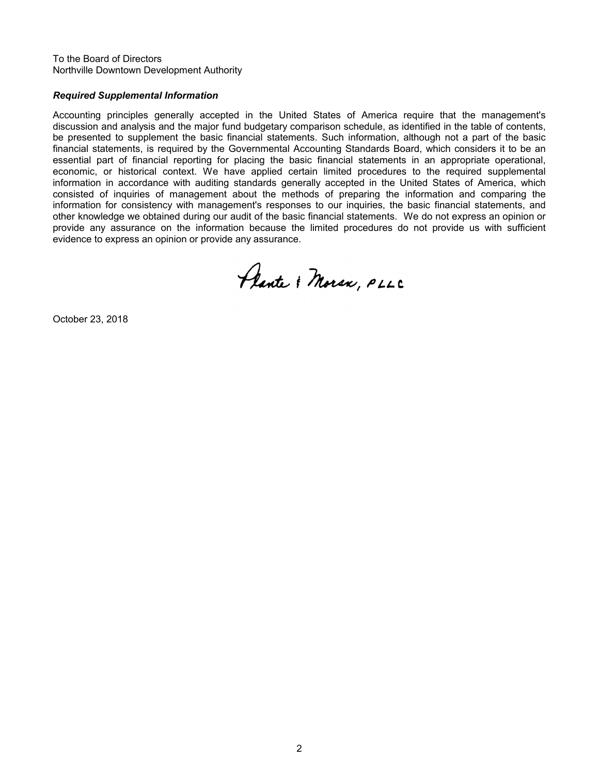To the Board of Directors Northville Downtown Development Authority

#### *Required Supplemental Information*

Accounting principles generally accepted in the United States of America require that the management's discussion and analysis and the major fund budgetary comparison schedule, as identified in the table of contents, be presented to supplement the basic financial statements. Such information, although not a part of the basic financial statements, is required by the Governmental Accounting Standards Board, which considers it to be an essential part of financial reporting for placing the basic financial statements in an appropriate operational, economic, or historical context. We have applied certain limited procedures to the required supplemental information in accordance with auditing standards generally accepted in the United States of America, which consisted of inquiries of management about the methods of preparing the information and comparing the information for consistency with management's responses to our inquiries, the basic financial statements, and other knowledge we obtained during our audit of the basic financial statements. We do not express an opinion or provide any assurance on the information because the limited procedures do not provide us with sufficient evidence to express an opinion or provide any assurance.

Plante & Moran, PLLC

October 23, 2018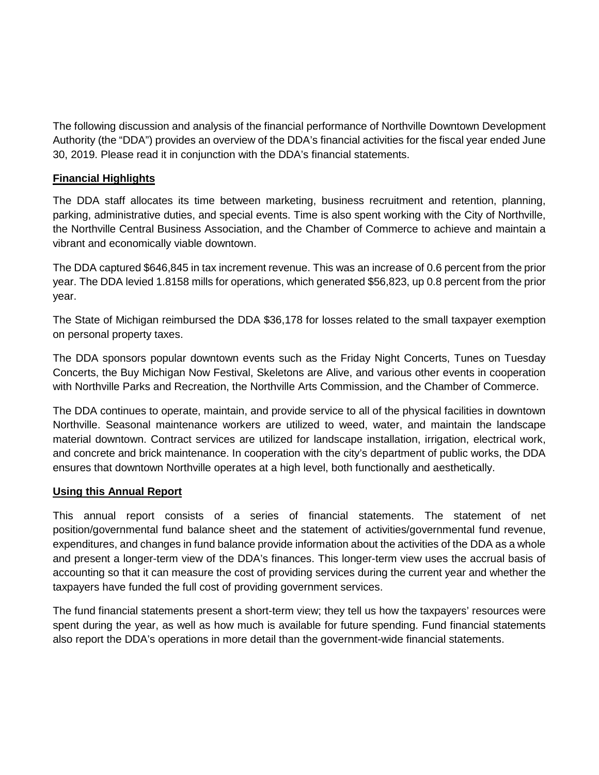The following discussion and analysis of the financial performance of Northville Downtown Development Authority (the "DDA") provides an overview of the DDA's financial activities for the fiscal year ended June 30, 2019. Please read it in conjunction with the DDA's financial statements.

# **Financial Highlights**

The DDA staff allocates its time between marketing, business recruitment and retention, planning, parking, administrative duties, and special events. Time is also spent working with the City of Northville, the Northville Central Business Association, and the Chamber of Commerce to achieve and maintain a vibrant and economically viable downtown.

The DDA captured \$646,845 in tax increment revenue. This was an increase of 0.6 percent from the prior year. The DDA levied 1.8158 mills for operations, which generated \$56,823, up 0.8 percent from the prior year.

The State of Michigan reimbursed the DDA \$36,178 for losses related to the small taxpayer exemption on personal property taxes.

The DDA sponsors popular downtown events such as the Friday Night Concerts, Tunes on Tuesday Concerts, the Buy Michigan Now Festival, Skeletons are Alive, and various other events in cooperation with Northville Parks and Recreation, the Northville Arts Commission, and the Chamber of Commerce.

The DDA continues to operate, maintain, and provide service to all of the physical facilities in downtown Northville. Seasonal maintenance workers are utilized to weed, water, and maintain the landscape material downtown. Contract services are utilized for landscape installation, irrigation, electrical work, and concrete and brick maintenance. In cooperation with the city's department of public works, the DDA ensures that downtown Northville operates at a high level, both functionally and aesthetically.

# **Using this Annual Report**

This annual report consists of a series of financial statements. The statement of net position/governmental fund balance sheet and the statement of activities/governmental fund revenue, expenditures, and changes in fund balance provide information about the activities of the DDA as a whole and present a longer-term view of the DDA's finances. This longer-term view uses the accrual basis of accounting so that it can measure the cost of providing services during the current year and whether the taxpayers have funded the full cost of providing government services.

The fund financial statements present a short-term view; they tell us how the taxpayers' resources were spent during the year, as well as how much is available for future spending. Fund financial statements also report the DDA's operations in more detail than the government-wide financial statements.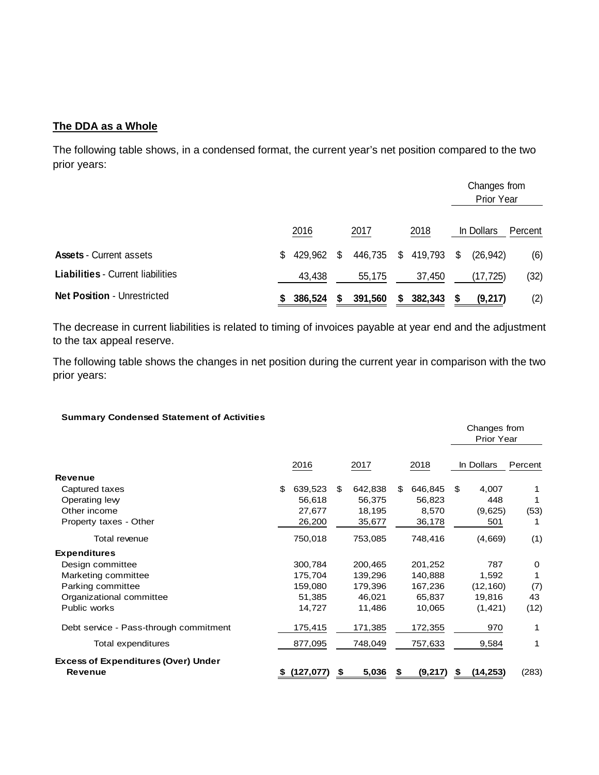# **The DDA as a Whole**

The following table shows, in a condensed format, the current year's net position compared to the two prior years:

|                                          |                |              |               | Changes from<br>Prior Year |         |  |
|------------------------------------------|----------------|--------------|---------------|----------------------------|---------|--|
|                                          | 2016           | 2017         | 2018          | In Dollars                 | Percent |  |
| <b>Assets - Current assets</b>           | 429,962<br>\$. | 446,735<br>S | 419,793<br>\$ | \$<br>(26, 942)            | (6)     |  |
| <b>Liabilities</b> - Current liabilities | 43,438         | 55,175       | 37,450        | (17,725)                   | (32)    |  |
| <b>Net Position - Unrestricted</b>       | 386,524        | 391,560      | 382,343<br>S  | (9,217)                    | (2)     |  |

The decrease in current liabilities is related to timing of invoices payable at year end and the adjustment to the tax appeal reserve.

The following table shows the changes in net position during the current year in comparison with the two prior years:

#### **Summary Condensed Statement of Activities**

|                                            |    |            |    |         |    | Changes from<br><b>Prior Year</b> |    |            |          |
|--------------------------------------------|----|------------|----|---------|----|-----------------------------------|----|------------|----------|
|                                            |    | 2016       |    | 2017    |    | 2018                              |    | In Dollars | Percent  |
| Revenue                                    |    |            |    |         |    |                                   |    |            |          |
| Captured taxes                             | \$ | 639,523    | S  | 642,838 | \$ | 646,845                           | \$ | 4,007      | 1        |
| Operating lew                              |    | 56,618     |    | 56,375  |    | 56,823                            |    | 448        |          |
| Other income                               |    | 27,677     |    | 18,195  |    | 8,570                             |    | (9,625)    | (53)     |
| Property taxes - Other                     |    | 26,200     |    | 35,677  |    | 36,178                            |    | 501        | 1        |
| Total revenue                              |    | 750,018    |    | 753,085 |    | 748,416                           |    | (4,669)    | (1)      |
| <b>Expenditures</b>                        |    |            |    |         |    |                                   |    |            |          |
| Design committee                           |    | 300,784    |    | 200,465 |    | 201,252                           |    | 787        | $\Omega$ |
| Marketing committee                        |    | 175,704    |    | 139,296 |    | 140,888                           |    | 1,592      | 1        |
| Parking committee                          |    | 159,080    |    | 179,396 |    | 167,236                           |    | (12, 160)  | (7)      |
| Organizational committee                   |    | 51,385     |    | 46,021  |    | 65,837                            |    | 19,816     | 43       |
| Public works                               |    | 14,727     |    | 11,486  |    | 10,065                            |    | (1, 421)   | (12)     |
| Debt service - Pass-through commitment     |    | 175,415    |    | 171,385 |    | 172,355                           |    | 970        | 1        |
| Total expenditures                         |    | 877,095    |    | 748,049 |    | 757,633                           |    | 9,584      | 1        |
| <b>Excess of Expenditures (Over) Under</b> |    |            |    |         |    |                                   |    |            |          |
| <b>Revenue</b>                             | \$ | (127, 077) | \$ | 5,036   |    | (9,217)                           | 5  | (14, 253)  | (283)    |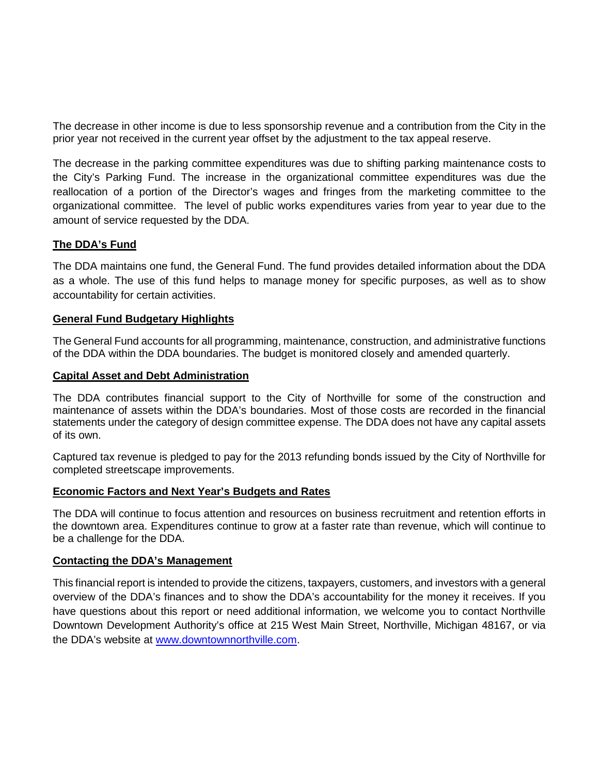The decrease in other income is due to less sponsorship revenue and a contribution from the City in the prior year not received in the current year offset by the adjustment to the tax appeal reserve.

The decrease in the parking committee expenditures was due to shifting parking maintenance costs to the City's Parking Fund. The increase in the organizational committee expenditures was due the reallocation of a portion of the Director's wages and fringes from the marketing committee to the organizational committee. The level of public works expenditures varies from year to year due to the amount of service requested by the DDA.

# **The DDA's Fund**

The DDA maintains one fund, the General Fund. The fund provides detailed information about the DDA as a whole. The use of this fund helps to manage money for specific purposes, as well as to show accountability for certain activities.

# **General Fund Budgetary Highlights**

The General Fund accounts for all programming, maintenance, construction, and administrative functions of the DDA within the DDA boundaries. The budget is monitored closely and amended quarterly.

# **Capital Asset and Debt Administration**

The DDA contributes financial support to the City of Northville for some of the construction and maintenance of assets within the DDA's boundaries. Most of those costs are recorded in the financial statements under the category of design committee expense. The DDA does not have any capital assets of its own.

Captured tax revenue is pledged to pay for the 2013 refunding bonds issued by the City of Northville for completed streetscape improvements.

# **Economic Factors and Next Year's Budgets and Rates**

The DDA will continue to focus attention and resources on business recruitment and retention efforts in the downtown area. Expenditures continue to grow at a faster rate than revenue, which will continue to be a challenge for the DDA.

# **Contacting the DDA's Management**

This financial report is intended to provide the citizens, taxpayers, customers, and investors with a general overview of the DDA's finances and to show the DDA's accountability for the money it receives. If you have questions about this report or need additional information, we welcome you to contact Northville Downtown Development Authority's office at 215 West Main Street, Northville, Michigan 48167, or via the DDA's website at [www.downtownnorthville.com.](http://www.downtownnorthville.com/)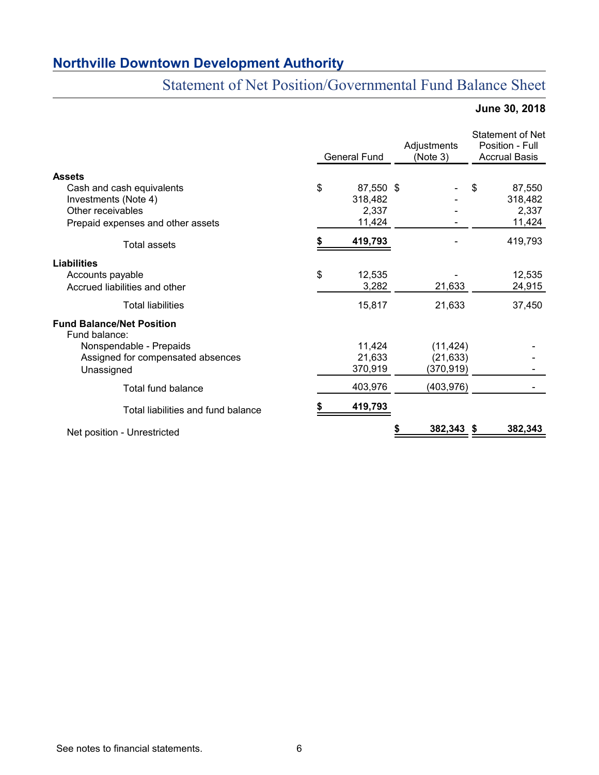# Statement of Net Position/Governmental Fund Balance Sheet

# **June 30, 2018**

|                                                                        | <b>General Fund</b>                 | Adjustments<br>(Note 3) | <b>Statement of Net</b><br>Position - Full<br><b>Accrual Basis</b> |  |
|------------------------------------------------------------------------|-------------------------------------|-------------------------|--------------------------------------------------------------------|--|
| <b>Assets</b>                                                          |                                     |                         |                                                                    |  |
| Cash and cash equivalents<br>Investments (Note 4)<br>Other receivables | \$<br>87,550 \$<br>318,482<br>2,337 |                         | 87,550<br>\$<br>318,482<br>2,337                                   |  |
| Prepaid expenses and other assets                                      | 11,424                              |                         | 11,424                                                             |  |
| Total assets                                                           | 419,793                             |                         | 419,793                                                            |  |
| <b>Liabilities</b>                                                     |                                     |                         |                                                                    |  |
| Accounts payable                                                       | \$<br>12,535                        |                         | 12,535                                                             |  |
| Accrued liabilities and other                                          | 3,282                               | 21,633                  | 24,915                                                             |  |
| <b>Total liabilities</b>                                               | 15,817                              | 21,633                  | 37,450                                                             |  |
| <b>Fund Balance/Net Position</b><br>Fund balance:                      |                                     |                         |                                                                    |  |
| Nonspendable - Prepaids                                                | 11,424                              | (11, 424)               |                                                                    |  |
| Assigned for compensated absences                                      | 21,633                              | (21, 633)               |                                                                    |  |
| Unassigned                                                             | 370,919                             | (370,919)               |                                                                    |  |
| Total fund balance                                                     | 403,976                             | (403,976)               |                                                                    |  |
| Total liabilities and fund balance                                     | 419,793                             |                         |                                                                    |  |
| Net position - Unrestricted                                            |                                     | 382,343 \$              | 382,343                                                            |  |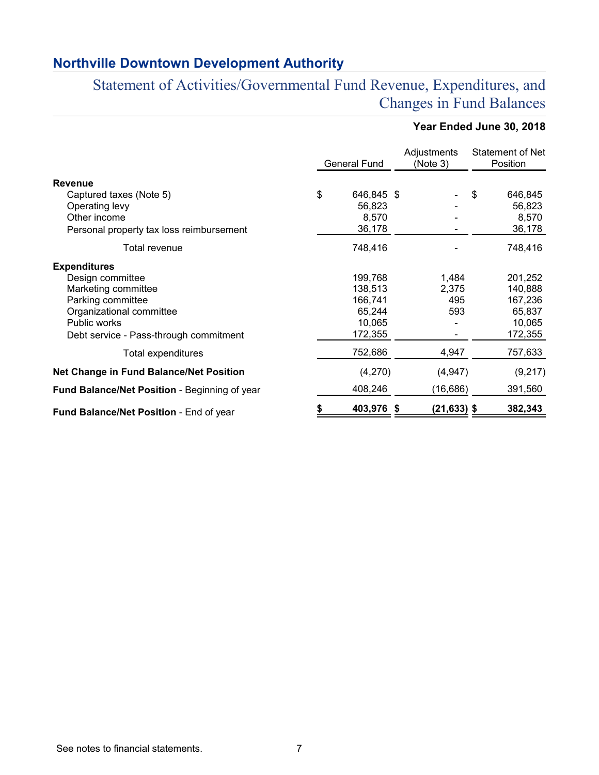# Statement of Activities/Governmental Fund Revenue, Expenditures, and Changes in Fund Balances

# **Year Ended June 30, 2018**

|                                                | <b>General Fund</b> |            | Adjustments<br>(Note 3) | Statement of Net<br>Position |
|------------------------------------------------|---------------------|------------|-------------------------|------------------------------|
| <b>Revenue</b>                                 |                     |            |                         |                              |
| Captured taxes (Note 5)                        | \$                  | 646,845 \$ |                         | \$<br>646,845                |
| Operating levy                                 |                     | 56,823     |                         | 56,823                       |
| Other income                                   |                     | 8,570      |                         | 8,570                        |
| Personal property tax loss reimbursement       |                     | 36,178     |                         | 36,178                       |
| Total revenue                                  |                     | 748,416    |                         | 748,416                      |
| <b>Expenditures</b>                            |                     |            |                         |                              |
| Design committee                               |                     | 199,768    | 1,484                   | 201,252                      |
| Marketing committee                            |                     | 138,513    | 2,375                   | 140,888                      |
| Parking committee                              |                     | 166,741    | 495                     | 167,236                      |
| Organizational committee                       |                     | 65,244     | 593                     | 65,837                       |
| Public works                                   |                     | 10,065     |                         | 10,065                       |
| Debt service - Pass-through commitment         |                     | 172,355    |                         | 172,355                      |
| Total expenditures                             |                     | 752,686    | 4,947                   | 757,633                      |
| <b>Net Change in Fund Balance/Net Position</b> |                     | (4,270)    | (4,947)                 | (9,217)                      |
| Fund Balance/Net Position - Beginning of year  |                     | 408,246    | (16, 686)               | 391,560                      |
| Fund Balance/Net Position - End of year        |                     | 403,976    | (21,633) \$<br>\$       | 382,343                      |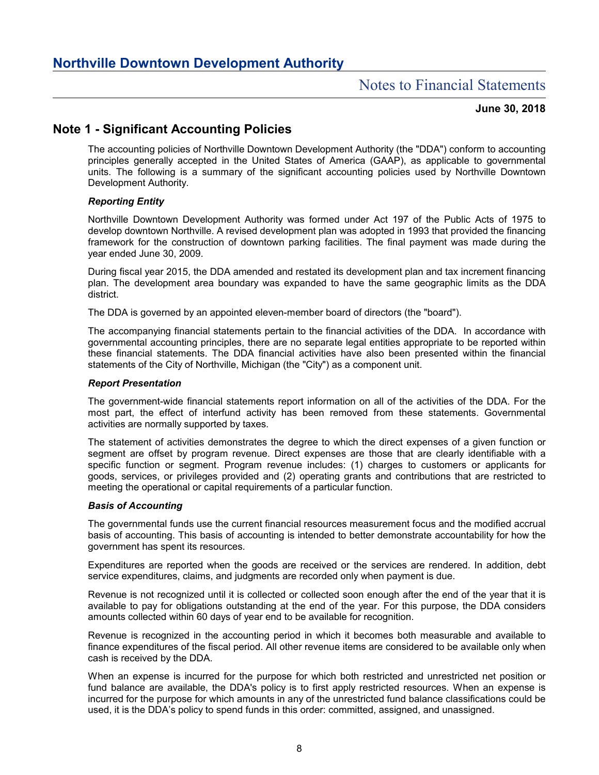### **June 30, 2018**

# **Note 1 - Significant Accounting Policies**

The accounting policies of Northville Downtown Development Authority (the "DDA") conform to accounting principles generally accepted in the United States of America (GAAP), as applicable to governmental units. The following is a summary of the significant accounting policies used by Northville Downtown Development Authority.

# *Reporting Entity*

Northville Downtown Development Authority was formed under Act 197 of the Public Acts of 1975 to develop downtown Northville. A revised development plan was adopted in 1993 that provided the financing framework for the construction of downtown parking facilities. The final payment was made during the year ended June 30, 2009.

During fiscal year 2015, the DDA amended and restated its development plan and tax increment financing plan. The development area boundary was expanded to have the same geographic limits as the DDA district.

The DDA is governed by an appointed eleven-member board of directors (the "board").

The accompanying financial statements pertain to the financial activities of the DDA. In accordance with governmental accounting principles, there are no separate legal entities appropriate to be reported within these financial statements. The DDA financial activities have also been presented within the financial statements of the City of Northville, Michigan (the "City") as a component unit.

### *Report Presentation*

The government-wide financial statements report information on all of the activities of the DDA. For the most part, the effect of interfund activity has been removed from these statements. Governmental activities are normally supported by taxes.

The statement of activities demonstrates the degree to which the direct expenses of a given function or segment are offset by program revenue. Direct expenses are those that are clearly identifiable with a specific function or segment. Program revenue includes: (1) charges to customers or applicants for goods, services, or privileges provided and (2) operating grants and contributions that are restricted to meeting the operational or capital requirements of a particular function.

#### *Basis of Accounting*

The governmental funds use the current financial resources measurement focus and the modified accrual basis of accounting. This basis of accounting is intended to better demonstrate accountability for how the government has spent its resources.

Expenditures are reported when the goods are received or the services are rendered. In addition, debt service expenditures, claims, and judgments are recorded only when payment is due.

Revenue is not recognized until it is collected or collected soon enough after the end of the year that it is available to pay for obligations outstanding at the end of the year. For this purpose, the DDA considers amounts collected within 60 days of year end to be available for recognition.

Revenue is recognized in the accounting period in which it becomes both measurable and available to finance expenditures of the fiscal period. All other revenue items are considered to be available only when cash is received by the DDA.

When an expense is incurred for the purpose for which both restricted and unrestricted net position or fund balance are available, the DDA's policy is to first apply restricted resources. When an expense is incurred for the purpose for which amounts in any of the unrestricted fund balance classifications could be used, it is the DDA's policy to spend funds in this order: committed, assigned, and unassigned.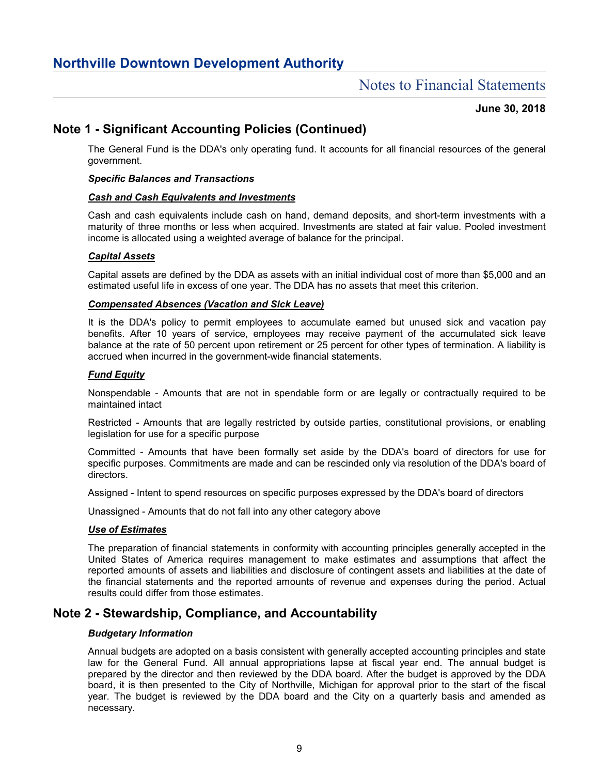# **June 30, 2018**

# **Note 1 - Significant Accounting Policies (Continued)**

The General Fund is the DDA's only operating fund. It accounts for all financial resources of the general government.

#### *Specific Balances and Transactions*

### *Cash and Cash Equivalents and Investments*

Cash and cash equivalents include cash on hand, demand deposits, and short-term investments with a maturity of three months or less when acquired. Investments are stated at fair value. Pooled investment income is allocated using a weighted average of balance for the principal.

### *Capital Assets*

Capital assets are defined by the DDA as assets with an initial individual cost of more than \$5,000 and an estimated useful life in excess of one year. The DDA has no assets that meet this criterion.

### *Compensated Absences (Vacation and Sick Leave)*

It is the DDA's policy to permit employees to accumulate earned but unused sick and vacation pay benefits. After 10 years of service, employees may receive payment of the accumulated sick leave balance at the rate of 50 percent upon retirement or 25 percent for other types of termination. A liability is accrued when incurred in the government-wide financial statements.

### *Fund Equity*

Nonspendable - Amounts that are not in spendable form or are legally or contractually required to be maintained intact

Restricted - Amounts that are legally restricted by outside parties, constitutional provisions, or enabling legislation for use for a specific purpose

Committed - Amounts that have been formally set aside by the DDA's board of directors for use for specific purposes. Commitments are made and can be rescinded only via resolution of the DDA's board of directors.

Assigned - Intent to spend resources on specific purposes expressed by the DDA's board of directors

Unassigned - Amounts that do not fall into any other category above

#### *Use of Estimates*

The preparation of financial statements in conformity with accounting principles generally accepted in the United States of America requires management to make estimates and assumptions that affect the reported amounts of assets and liabilities and disclosure of contingent assets and liabilities at the date of the financial statements and the reported amounts of revenue and expenses during the period. Actual results could differ from those estimates.

# **Note 2 - Stewardship, Compliance, and Accountability**

#### *Budgetary Information*

Annual budgets are adopted on a basis consistent with generally accepted accounting principles and state law for the General Fund. All annual appropriations lapse at fiscal year end. The annual budget is prepared by the director and then reviewed by the DDA board. After the budget is approved by the DDA board, it is then presented to the City of Northville, Michigan for approval prior to the start of the fiscal year. The budget is reviewed by the DDA board and the City on a quarterly basis and amended as necessary.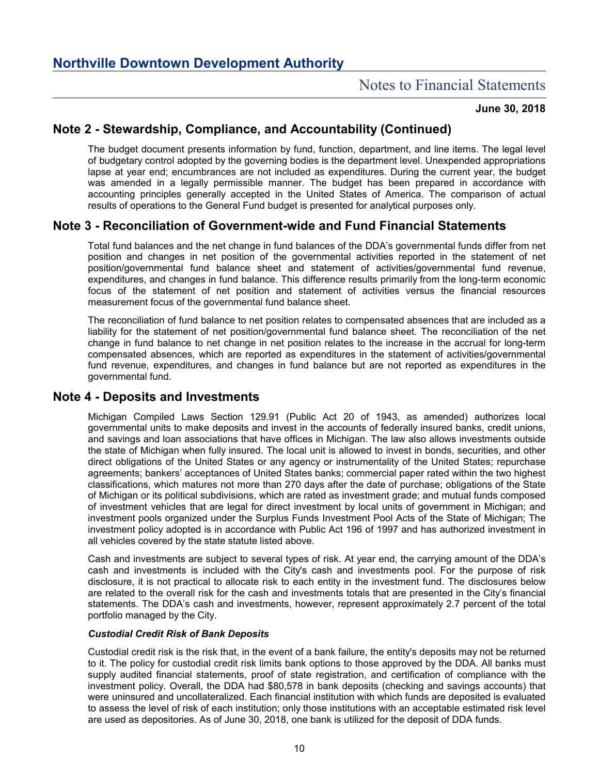### **June 30, 2018**

# **Note 2 - Stewardship, Compliance, and Accountability (Continued)**

The budget document presents information by fund, function, department, and line items. The legal level of budgetary control adopted by the governing bodies is the department level. Unexpended appropriations lapse at year end; encumbrances are not included as expenditures. During the current year, the budget was amended in a legally permissible manner. The budget has been prepared in accordance with accounting principles generally accepted in the United States of America. The comparison of actual results of operations to the General Fund budget is presented for analytical purposes only.

# **Note 3 - Reconciliation of Government-wide and Fund Financial Statements**

Total fund balances and the net change in fund balances of the DDA's governmental funds differ from net position and changes in net position of the governmental activities reported in the statement of net position/governmental fund balance sheet and statement of activities/governmental fund revenue, expenditures, and changes in fund balance. This difference results primarily from the long-term economic focus of the statement of net position and statement of activities versus the financial resources measurement focus of the governmental fund balance sheet.

The reconciliation of fund balance to net position relates to compensated absences that are included as a liability for the statement of net position/governmental fund balance sheet. The reconciliation of the net change in fund balance to net change in net position relates to the increase in the accrual for long-term compensated absences, which are reported as expenditures in the statement of activities/governmental fund revenue, expenditures, and changes in fund balance but are not reported as expenditures in the governmental fund.

# **Note 4 - Deposits and Investments**

Michigan Compiled Laws Section 129.91 (Public Act 20 of 1943, as amended) authorizes local governmental units to make deposits and invest in the accounts of federally insured banks, credit unions, and savings and loan associations that have offices in Michigan. The law also allows investments outside the state of Michigan when fully insured. The local unit is allowed to invest in bonds, securities, and other direct obligations of the United States or any agency or instrumentality of the United States; repurchase agreements; bankers' acceptances of United States banks; commercial paper rated within the two highest classifications, which matures not more than 270 days after the date of purchase; obligations of the State of Michigan or its political subdivisions, which are rated as investment grade; and mutual funds composed of investment vehicles that are legal for direct investment by local units of government in Michigan; and investment pools organized under the Surplus Funds Investment Pool Acts of the State of Michigan; The investment policy adopted is in accordance with Public Act 196 of 1997 and has authorized investment in all vehicles covered by the state statute listed above.

Cash and investments are subject to several types of risk. At year end, the carrying amount of the DDA's cash and investments is included with the City's cash and investments pool. For the purpose of risk disclosure, it is not practical to allocate risk to each entity in the investment fund. The disclosures below are related to the overall risk for the cash and investments totals that are presented in the City's financial statements. The DDA's cash and investments, however, represent approximately 2.7 percent of the total portfolio managed by the City.

#### *Custodial Credit Risk of Bank Deposits*

Custodial credit risk is the risk that, in the event of a bank failure, the entity's deposits may not be returned to it. The policy for custodial credit risk limits bank options to those approved by the DDA. All banks must supply audited financial statements, proof of state registration, and certification of compliance with the investment policy. Overall, the DDA had \$80,578 in bank deposits (checking and savings accounts) that were uninsured and uncollateralized. Each financial institution with which funds are deposited is evaluated to assess the level of risk of each institution; only those institutions with an acceptable estimated risk level are used as depositories. As of June 30, 2018, one bank is utilized for the deposit of DDA funds.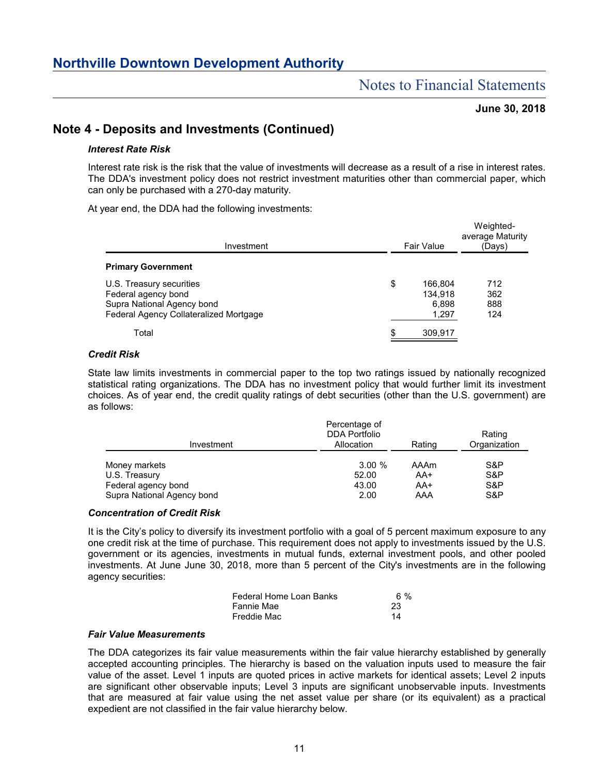### **June 30, 2018**

# **Note 4 - Deposits and Investments (Continued)**

#### *Interest Rate Risk*

Interest rate risk is the risk that the value of investments will decrease as a result of a rise in interest rates. The DDA's investment policy does not restrict investment maturities other than commercial paper, which can only be purchased with a 270-day maturity.

At year end, the DDA had the following investments:

| Investment                             | <b>Fair Value</b> | Weighted-<br>average Maturity<br>(Days) |     |  |
|----------------------------------------|-------------------|-----------------------------------------|-----|--|
| <b>Primary Government</b>              |                   |                                         |     |  |
| U.S. Treasury securities               | \$                | 166.804                                 | 712 |  |
| Federal agency bond                    |                   | 134,918                                 | 362 |  |
| Supra National Agency bond             |                   | 6,898                                   | 888 |  |
| Federal Agency Collateralized Mortgage |                   | 1,297                                   | 124 |  |
| Total                                  |                   | 309,917                                 |     |  |

### *Credit Risk*

State law limits investments in commercial paper to the top two ratings issued by nationally recognized statistical rating organizations. The DDA has no investment policy that would further limit its investment choices. As of year end, the credit quality ratings of debt securities (other than the U.S. government) are as follows:

| Investment                 | Percentage of<br><b>DDA Portfolio</b><br>Allocation | Rating | Rating<br>Organization |
|----------------------------|-----------------------------------------------------|--------|------------------------|
|                            |                                                     |        |                        |
| Money markets              | 3.00%                                               | AAAm   | S&P                    |
| U.S. Treasury              | 52.00                                               | AA+    | S&P                    |
| Federal agency bond        | 43.00                                               | AA+    | S&P                    |
| Supra National Agency bond | 2.00                                                | AAA    | S&P                    |

#### *Concentration of Credit Risk*

It is the City's policy to diversify its investment portfolio with a goal of 5 percent maximum exposure to any one credit risk at the time of purchase. This requirement does not apply to investments issued by the U.S. government or its agencies, investments in mutual funds, external investment pools, and other pooled investments. At June June 30, 2018, more than 5 percent of the City's investments are in the following agency securities:

| Federal Home Loan Banks | 6 % |
|-------------------------|-----|
| Fannie Mae              | 23  |
| Freddie Mac             | 14  |

#### *Fair Value Measurements*

The DDA categorizes its fair value measurements within the fair value hierarchy established by generally accepted accounting principles. The hierarchy is based on the valuation inputs used to measure the fair value of the asset. Level 1 inputs are quoted prices in active markets for identical assets; Level 2 inputs are significant other observable inputs; Level 3 inputs are significant unobservable inputs. Investments that are measured at fair value using the net asset value per share (or its equivalent) as a practical expedient are not classified in the fair value hierarchy below.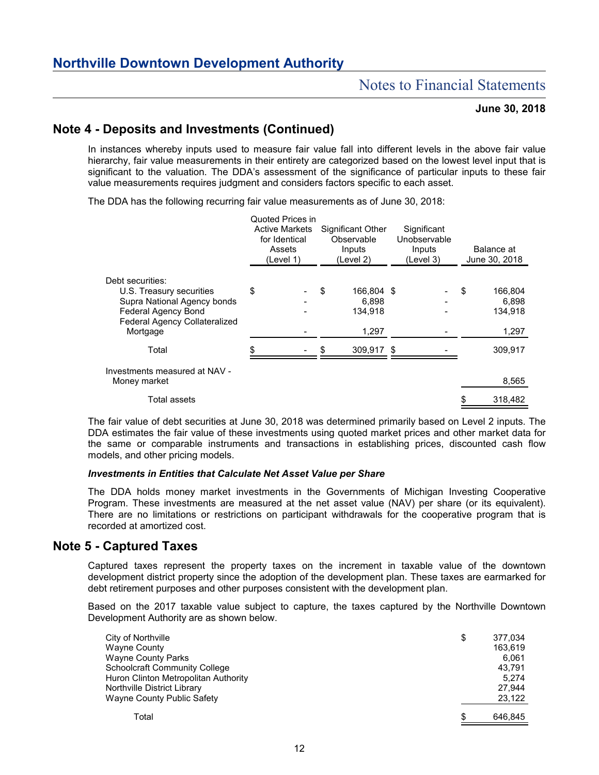### **June 30, 2018**

# **Note 4 - Deposits and Investments (Continued)**

In instances whereby inputs used to measure fair value fall into different levels in the above fair value hierarchy, fair value measurements in their entirety are categorized based on the lowest level input that is significant to the valuation. The DDA's assessment of the significance of particular inputs to these fair value measurements requires judgment and considers factors specific to each asset.

The DDA has the following recurring fair value measurements as of June 30, 2018:

|                                                             | Quoted Prices in<br><b>Active Markets</b><br>for Identical<br>Assets<br>(Level 1) | Significant Other<br>Observable<br>Inputs<br>(Level 2) | Significant<br>Unobservable<br>Inputs<br>(Level 3) | Balance at<br>June 30, 2018 |         |  |
|-------------------------------------------------------------|-----------------------------------------------------------------------------------|--------------------------------------------------------|----------------------------------------------------|-----------------------------|---------|--|
| Debt securities:                                            |                                                                                   |                                                        |                                                    |                             |         |  |
| U.S. Treasury securities                                    | \$                                                                                | \$<br>166,804 \$                                       |                                                    | \$                          | 166,804 |  |
| Supra National Agency bonds                                 |                                                                                   | 6.898                                                  |                                                    |                             | 6,898   |  |
| <b>Federal Agency Bond</b><br>Federal Agency Collateralized |                                                                                   | 134.918                                                |                                                    |                             | 134.918 |  |
| Mortgage                                                    |                                                                                   | 1,297                                                  |                                                    |                             | 1,297   |  |
| Total                                                       |                                                                                   | 309,917 \$                                             |                                                    |                             | 309,917 |  |
| Investments measured at NAV -                               |                                                                                   |                                                        |                                                    |                             |         |  |
| Money market                                                |                                                                                   |                                                        |                                                    |                             | 8,565   |  |
| Total assets                                                |                                                                                   |                                                        |                                                    | \$                          | 318.482 |  |

The fair value of debt securities at June 30, 2018 was determined primarily based on Level 2 inputs. The DDA estimates the fair value of these investments using quoted market prices and other market data for the same or comparable instruments and transactions in establishing prices, discounted cash flow models, and other pricing models.

# *Investments in Entities that Calculate Net Asset Value per Share*

The DDA holds money market investments in the Governments of Michigan Investing Cooperative Program. These investments are measured at the net asset value (NAV) per share (or its equivalent). There are no limitations or restrictions on participant withdrawals for the cooperative program that is recorded at amortized cost.

# **Note 5 - Captured Taxes**

Captured taxes represent the property taxes on the increment in taxable value of the downtown development district property since the adoption of the development plan. These taxes are earmarked for debt retirement purposes and other purposes consistent with the development plan.

Based on the 2017 taxable value subject to capture, the taxes captured by the Northville Downtown Development Authority are as shown below.

| City of Northville                   | S | 377.034 |
|--------------------------------------|---|---------|
| Wayne County                         |   | 163.619 |
| Wayne County Parks                   |   | 6.061   |
| Schoolcraft Community College        |   | 43.791  |
| Huron Clinton Metropolitan Authority |   | 5.274   |
| Northville District Library          |   | 27.944  |
| Wayne County Public Safety           |   | 23,122  |
| Total                                |   | 646.845 |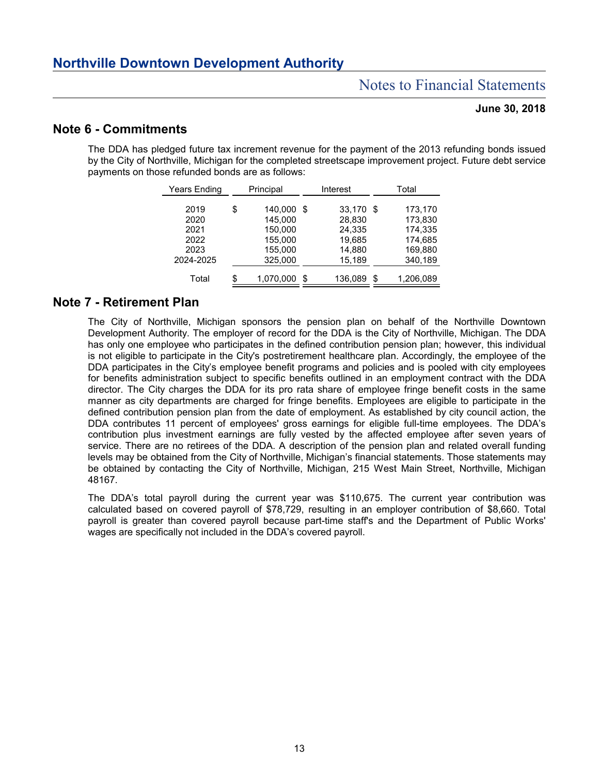### **June 30, 2018**

# **Note 6 - Commitments**

The DDA has pledged future tax increment revenue for the payment of the 2013 refunding bonds issued by the City of Northville, Michigan for the completed streetscape improvement project. Future debt service payments on those refunded bonds are as follows:

| <b>Years Ending</b> | Principal       |     | Total<br>Interest |      |           |
|---------------------|-----------------|-----|-------------------|------|-----------|
|                     |                 |     |                   |      |           |
| 2019                | \$<br>140,000   | \$. | 33,170            | - \$ | 173,170   |
| 2020                | 145,000         |     | 28,830            |      | 173,830   |
| 2021                | 150,000         |     | 24,335            |      | 174,335   |
| 2022                | 155,000         |     | 19,685            |      | 174,685   |
| 2023                | 155,000         |     | 14,880            |      | 169,880   |
| 2024-2025           | 325,000         |     | 15,189            |      | 340,189   |
| Total               | \$<br>1.070.000 | \$  | 136,089           | \$   | 1,206,089 |

# **Note 7 - Retirement Plan**

The City of Northville, Michigan sponsors the pension plan on behalf of the Northville Downtown Development Authority. The employer of record for the DDA is the City of Northville, Michigan. The DDA has only one employee who participates in the defined contribution pension plan; however, this individual is not eligible to participate in the City's postretirement healthcare plan. Accordingly, the employee of the DDA participates in the City's employee benefit programs and policies and is pooled with city employees for benefits administration subject to specific benefits outlined in an employment contract with the DDA director. The City charges the DDA for its pro rata share of employee fringe benefit costs in the same manner as city departments are charged for fringe benefits. Employees are eligible to participate in the defined contribution pension plan from the date of employment. As established by city council action, the DDA contributes 11 percent of employees' gross earnings for eligible full-time employees. The DDA's contribution plus investment earnings are fully vested by the affected employee after seven years of service. There are no retirees of the DDA. A description of the pension plan and related overall funding levels may be obtained from the City of Northville, Michigan's financial statements. Those statements may be obtained by contacting the City of Northville, Michigan, 215 West Main Street, Northville, Michigan 48167.

The DDA's total payroll during the current year was \$110,675. The current year contribution was calculated based on covered payroll of \$78,729, resulting in an employer contribution of \$8,660. Total payroll is greater than covered payroll because part-time staff's and the Department of Public Works' wages are specifically not included in the DDA's covered payroll.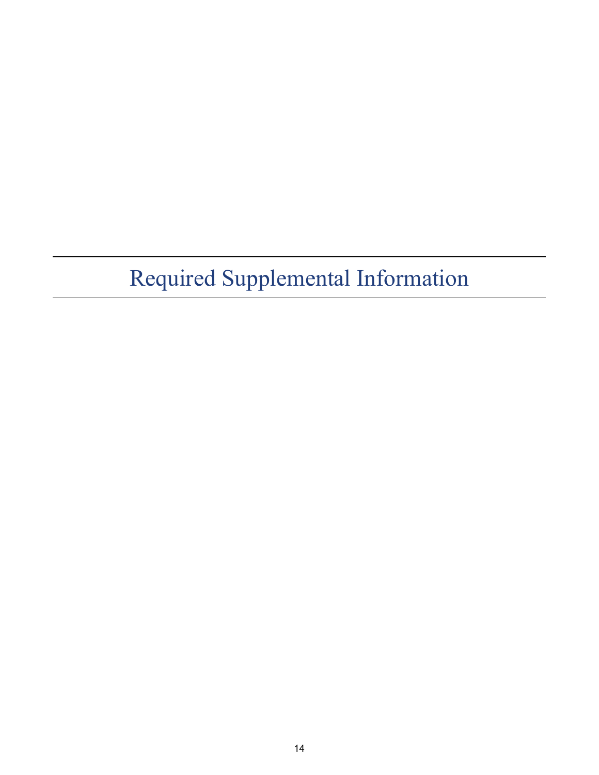# Required Supplemental Information